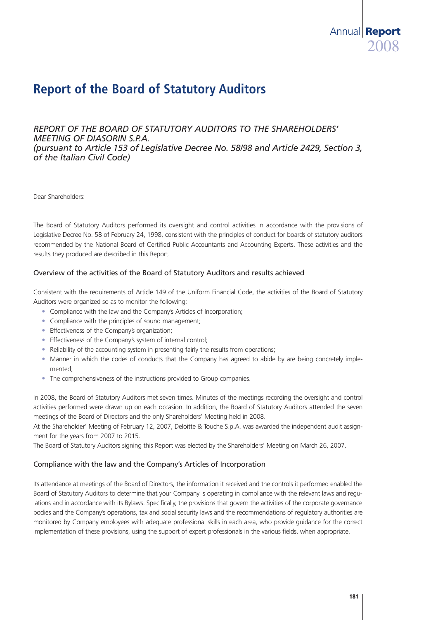# **Report of the Board of Statutory Auditors**

## *REPORT OF THE BOARD OF STATUTORY AUDITORS TO THE SHAREHOLDERS' MEETING OF DIASORIN S.P.A. (pursuant to Article 153 of Legislative Decree No. 58/98 and Article 2429, Section 3, of the Italian Civil Code)*

Dear Shareholders:

The Board of Statutory Auditors performed its oversight and control activities in accordance with the provisions of Legislative Decree No. 58 of February 24, 1998, consistent with the principles of conduct for boards of statutory auditors recommended by the National Board of Certified Public Accountants and Accounting Experts. These activities and the results they produced are described in this Report.

## Overview of the activities of the Board of Statutory Auditors and results achieved

Consistent with the requirements of Article 149 of the Uniform Financial Code, the activities of the Board of Statutory Auditors were organized so as to monitor the following:

- Compliance with the law and the Company's Articles of Incorporation:
- Compliance with the principles of sound management;
- Effectiveness of the Company's organization;
- Effectiveness of the Company's system of internal control;
- Reliability of the accounting system in presenting fairly the results from operations;
- Manner in which the codes of conducts that the Company has agreed to abide by are being concretely implemented;
- The comprehensiveness of the instructions provided to Group companies.

In 2008, the Board of Statutory Auditors met seven times. Minutes of the meetings recording the oversight and control activities performed were drawn up on each occasion. In addition, the Board of Statutory Auditors attended the seven meetings of the Board of Directors and the only Shareholders' Meeting held in 2008.

At the Shareholder' Meeting of February 12, 2007, Deloitte & Touche S.p.A. was awarded the independent audit assignment for the years from 2007 to 2015.

The Board of Statutory Auditors signing this Report was elected by the Shareholders' Meeting on March 26, 2007.

#### Compliance with the law and the Company's Articles of Incorporation

Its attendance at meetings of the Board of Directors, the information it received and the controls it performed enabled the Board of Statutory Auditors to determine that your Company is operating in compliance with the relevant laws and regulations and in accordance with its Bylaws. Specifically, the provisions that govern the activities of the corporate governance bodies and the Company's operations, tax and social security laws and the recommendations of regulatory authorities are monitored by Company employees with adequate professional skills in each area, who provide guidance for the correct implementation of these provisions, using the support of expert professionals in the various fields, when appropriate.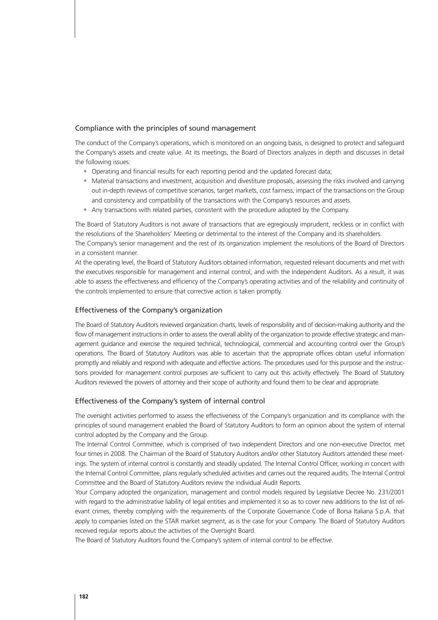#### Compliance with the principles of sound management

The conduct of the Company's operations, which is monitored on an ongoing basis, is designed to protect and safeguard the Company's assets and create value. At its meetings, the Board of Directors analyzes in depth and discusses in detail the following issues:

- Operating and financial results for each reporting period and the updated forecast data;
- Material transactions and investment, acquisition and divestiture proposals, assessing the risks involved and carrying out in-depth reviews of competitive scenarios, target markets, cost fairness, impact of the transactions on the Group and consistency and compatibility of the transactions with the Company's resources and assets.
- Any transactions with related parties, consistent with the procedure adopted by the Company.

The Board of Statutory Auditors is not aware of transactions that are egregiously imprudent, reckless or in conflict with the resolutions of the Shareholders' Meeting or detrimental to the interest of the Company and its shareholders.

The Company's senior management and the rest of its organization implement the resolutions of the Board of Directors in a consistent manner.

At the operating level, the Board of Statutory Auditors obtained information, requested relevant documents and met with the executives responsible for management and internal control, and with the Independent Auditors. As a result, it was able to assess the effectiveness and efficiency of the Company's operating activities and of the reliability and continuity of the controls implemented to ensure that corrective action is taken promptly.

#### Effectiveness of the Company's organization

The Board of Statutory Auditors reviewed organization charts, levels of responsibility and of decision-making authority and the flow of management instructions in order to assess the overall ability of the organization to provide effective strategic and management guidance and exercise the required technical, technological, commercial and accounting control over the Group's operations. The Board of Statutory Auditors was able to ascertain that the appropriate offices obtain useful information promptly and reliably and respond with adequate and effective actions. The procedures used for this purpose and the instructions provided for management control purposes are sufficient to carry out this activity effectively. The Board of Statutory Auditors reviewed the powers of attorney and their scope of authority and found them to be clear and appropriate.

#### Effectiveness of the Company's system of internal control

The oversight activities performed to assess the effectiveness of the Company's organization and its compliance with the principles of sound management enabled the Board of Statutory Auditors to form an opinion about the system of internal control adopted by the Company and the Group.

The Internal Control Committee, which is comprised of two independent Directors and one non-executive Director, met four times in 2008. The Chairman of the Board of Statutory Auditors and/or other Statutory Auditors attended these meetings. The system of internal control is constantly and steadily updated. The Internal Control Officer, working in concert with the Internal Control Committee, plans regularly scheduled activities and carries out the required audits. The Internal Control Committee and the Board of Statutory Auditors review the individual Audit Reports.

Your Company adopted the organization, management and control models required by Legislative Decree No. 231/2001 with regard to the administrative liability of legal entities and implemented it so as to cover new additions to the list of relevant crimes, thereby complying with the requirements of the Corporate Governance Code of Borsa Italiana S.p.A. that apply to companies listed on the STAR market segment, as is the case for your Company. The Board of Statutory Auditors received regular reports about the activities of the Oversight Board.

The Board of Statutory Auditors found the Company's system of internal control to be effective.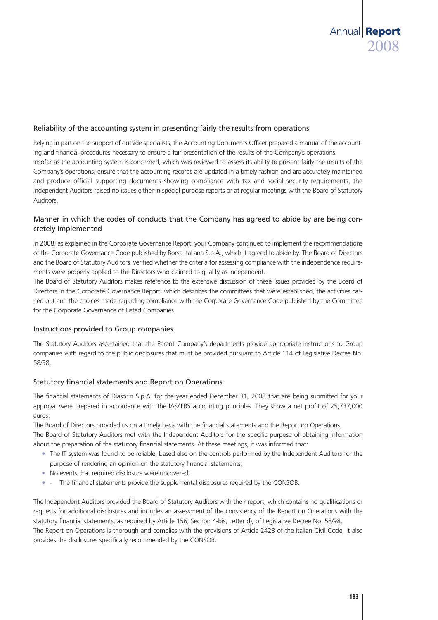### Reliability of the accounting system in presenting fairly the results from operations

Relying in part on the support of outside specialists, the Accounting Documents Officer prepared a manual of the accounting and financial procedures necessary to ensure a fair presentation of the results of the Company's operations. Insofar as the accounting system is concerned, which was reviewed to assess its ability to present fairly the results of the Company's operations, ensure that the accounting records are updated in a timely fashion and are accurately maintained and produce official supporting documents showing compliance with tax and social security requirements, the Independent Auditors raised no issues either in special-purpose reports or at regular meetings with the Board of Statutory Auditors.

## Manner in which the codes of conducts that the Company has agreed to abide by are being concretely implemented

In 2008, as explained in the Corporate Governance Report, your Company continued to implement the recommendations of the Corporate Governance Code published by Borsa Italiana S.p.A., which it agreed to abide by. The Board of Directors and the Board of Statutory Auditors verified whether the criteria for assessing compliance with the independence requirements were properly applied to the Directors who claimed to qualify as independent.

The Board of Statutory Auditors makes reference to the extensive discussion of these issues provided by the Board of Directors in the Corporate Governance Report, which describes the committees that were established, the activities carried out and the choices made regarding compliance with the Corporate Governance Code published by the Committee for the Corporate Governance of Listed Companies.

#### Instructions provided to Group companies

The Statutory Auditors ascertained that the Parent Company's departments provide appropriate instructions to Group companies with regard to the public disclosures that must be provided pursuant to Article 114 of Legislative Decree No. 58/98.

## Statutory financial statements and Report on Operations

The financial statements of Diasorin S.p.A. for the year ended December 31, 2008 that are being submitted for your approval were prepared in accordance with the IAS/IFRS accounting principles. They show a net profit of 25,737,000 euros.

The Board of Directors provided us on a timely basis with the financial statements and the Report on Operations.

The Board of Statutory Auditors met with the Independent Auditors for the specific purpose of obtaining information about the preparation of the statutory financial statements. At these meetings, it was informed that:

- The IT system was found to be reliable, based also on the controls performed by the Independent Auditors for the purpose of rendering an opinion on the statutory financial statements;
- No events that required disclosure were uncovered;
- - The financial statements provide the supplemental disclosures required by the CONSOB.

The Independent Auditors provided the Board of Statutory Auditors with their report, which contains no qualifications or requests for additional disclosures and includes an assessment of the consistency of the Report on Operations with the statutory financial statements, as required by Article 156, Section 4-bis, Letter d), of Legislative Decree No. 58/98. The Report on Operations is thorough and complies with the provisions of Article 2428 of the Italian Civil Code. It also provides the disclosures specifically recommended by the CONSOB.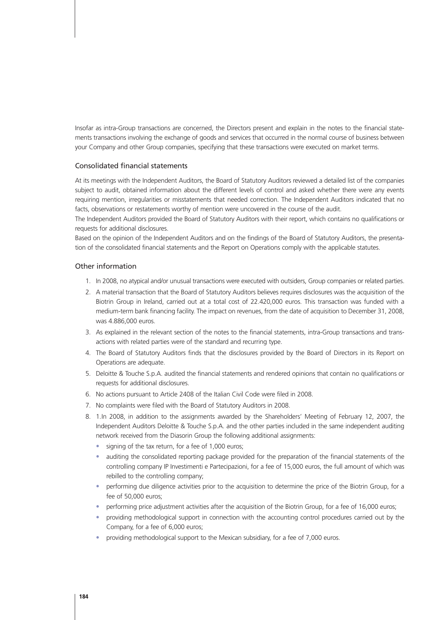Insofar as intra-Group transactions are concerned, the Directors present and explain in the notes to the financial statements transactions involving the exchange of goods and services that occurred in the normal course of business between your Company and other Group companies, specifying that these transactions were executed on market terms.

#### Consolidated financial statements

At its meetings with the Independent Auditors, the Board of Statutory Auditors reviewed a detailed list of the companies subject to audit, obtained information about the different levels of control and asked whether there were any events requiring mention, irregularities or misstatements that needed correction. The Independent Auditors indicated that no facts, observations or restatements worthy of mention were uncovered in the course of the audit.

The Independent Auditors provided the Board of Statutory Auditors with their report, which contains no qualifications or requests for additional disclosures.

Based on the opinion of the Independent Auditors and on the findings of the Board of Statutory Auditors, the presentation of the consolidated financial statements and the Report on Operations comply with the applicable statutes.

#### Other information

- 1. In 2008, no atypical and/or unusual transactions were executed with outsiders, Group companies or related parties.
- 2. A material transaction that the Board of Statutory Auditors believes requires disclosures was the acquisition of the Biotrin Group in Ireland, carried out at a total cost of 22.420,000 euros. This transaction was funded with a medium-term bank financing facility. The impact on revenues, from the date of acquisition to December 31, 2008, was 4.886,000 euros.
- 3. As explained in the relevant section of the notes to the financial statements, intra-Group transactions and transactions with related parties were of the standard and recurring type.
- 4. The Board of Statutory Auditors finds that the disclosures provided by the Board of Directors in its Report on Operations are adequate.
- 5. Deloitte & Touche S.p.A. audited the financial statements and rendered opinions that contain no qualifications or requests for additional disclosures.
- 6. No actions pursuant to Article 2408 of the Italian Civil Code were filed in 2008.
- 7. No complaints were filed with the Board of Statutory Auditors in 2008.
- 8. 1.In 2008, in addition to the assignments awarded by the Shareholders' Meeting of February 12, 2007, the Independent Auditors Deloitte & Touche S.p.A. and the other parties included in the same independent auditing network received from the Diasorin Group the following additional assignments:
	- signing of the tax return, for a fee of 1,000 euros;
	- auditing the consolidated reporting package provided for the preparation of the financial statements of the controlling company IP Investimenti e Partecipazioni, for a fee of 15,000 euros, the full amount of which was rebilled to the controlling company;
	- performing due diligence activities prior to the acquisition to determine the price of the Biotrin Group, for a fee of 50,000 euros;
	- performing price adjustment activities after the acquisition of the Biotrin Group, for a fee of 16,000 euros;
	- providing methodological support in connection with the accounting control procedures carried out by the Company, for a fee of 6,000 euros;
	- providing methodological support to the Mexican subsidiary, for a fee of 7,000 euros.